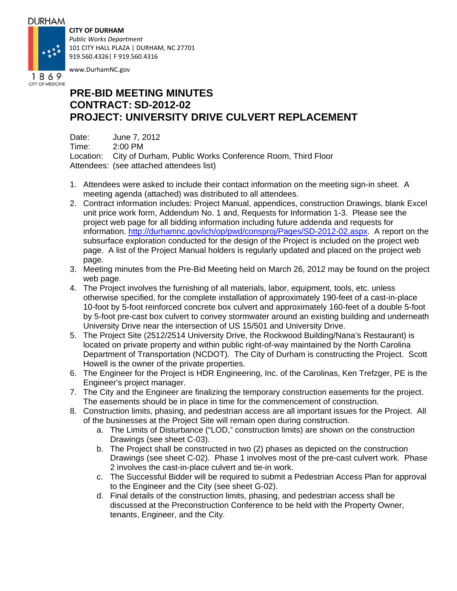## **DURHAM**

## **CITY OF DURHAM**



*Public Works Department* 101 CITY HALL PLAZA | DURHAM, NC 27701 919.560.4326| F 919.560.4316

www.DurhamNC.gov

# **PRE-BID MEETING MINUTES CONTRACT: SD-2012-02 PROJECT: UNIVERSITY DRIVE CULVERT REPLACEMENT**

Date: June 7, 2012 Time: 2:00 PM Location: City of Durham, Public Works Conference Room, Third Floor Attendees: (see attached attendees list)

- 1. Attendees were asked to include their contact information on the meeting sign-in sheet. A meeting agenda (attached) was distributed to all attendees.
- 2. Contract information includes: Project Manual, appendices, construction Drawings, blank Excel unit price work form, Addendum No. 1 and, Requests for Information 1-3. Please see the project web page for all bidding information including future addenda and requests for information. http://durhamnc.gov/ich/op/pwd/consproj/Pages/SD-2012-02.aspx. A report on the subsurface exploration conducted for the design of the Project is included on the project web page. A list of the Project Manual holders is regularly updated and placed on the project web page.
- 3. Meeting minutes from the Pre-Bid Meeting held on March 26, 2012 may be found on the project web page.
- 4. The Project involves the furnishing of all materials, labor, equipment, tools, etc. unless otherwise specified, for the complete installation of approximately 190-feet of a cast-in-place 10-foot by 5-foot reinforced concrete box culvert and approximately 160-feet of a double 5-foot by 5-foot pre-cast box culvert to convey stormwater around an existing building and underneath University Drive near the intersection of US 15/501 and University Drive.
- 5. The Project Site (2512/2514 University Drive, the Rockwood Building/Nana's Restaurant) is located on private property and within public right-of-way maintained by the North Carolina Department of Transportation (NCDOT). The City of Durham is constructing the Project. Scott Howell is the owner of the private properties.
- 6. The Engineer for the Project is HDR Engineering, Inc. of the Carolinas, Ken Trefzger, PE is the Engineer's project manager.
- 7. The City and the Engineer are finalizing the temporary construction easements for the project. The easements should be in place in time for the commencement of construction.
- 8. Construction limits, phasing, and pedestrian access are all important issues for the Project. All of the businesses at the Project Site will remain open during construction.
	- a. The Limits of Disturbance ("LOD," construction limits) are shown on the construction Drawings (see sheet C-03).
	- b. The Project shall be constructed in two (2) phases as depicted on the construction Drawings (see sheet C-02). Phase 1 involves most of the pre-cast culvert work. Phase 2 involves the cast-in-place culvert and tie-in work.
	- c. The Successful Bidder will be required to submit a Pedestrian Access Plan for approval to the Engineer and the City (see sheet G-02).
	- d. Final details of the construction limits, phasing, and pedestrian access shall be discussed at the Preconstruction Conference to be held with the Property Owner, tenants, Engineer, and the City.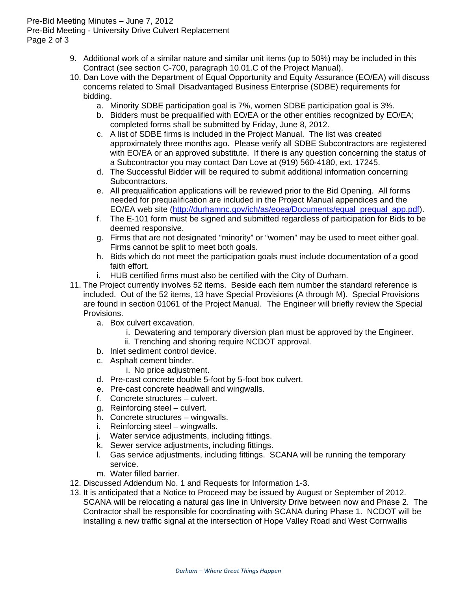## Pre-Bid Meeting Minutes – June 7, 2012 Pre-Bid Meeting - University Drive Culvert Replacement Page 2 of 3

- 9. Additional work of a similar nature and similar unit items (up to 50%) may be included in this Contract (see section C-700, paragraph 10.01.C of the Project Manual).
- 10. Dan Love with the Department of Equal Opportunity and Equity Assurance (EO/EA) will discuss concerns related to Small Disadvantaged Business Enterprise (SDBE) requirements for bidding.
	- a. Minority SDBE participation goal is 7%, women SDBE participation goal is 3%.
	- b. Bidders must be prequalified with EO/EA or the other entities recognized by EO/EA; completed forms shall be submitted by Friday, June 8, 2012.
	- c. A list of SDBE firms is included in the Project Manual. The list was created approximately three months ago. Please verify all SDBE Subcontractors are registered with EO/EA or an approved substitute. If there is any question concerning the status of a Subcontractor you may contact Dan Love at (919) 560-4180, ext. 17245.
	- d. The Successful Bidder will be required to submit additional information concerning Subcontractors.
	- e. All prequalification applications will be reviewed prior to the Bid Opening. All forms needed for prequalification are included in the Project Manual appendices and the EO/EA web site (http://durhamnc.gov/ich/as/eoea/Documents/equal\_prequal\_app.pdf).
	- f. The E-101 form must be signed and submitted regardless of participation for Bids to be deemed responsive.
	- g. Firms that are not designated "minority" or "women" may be used to meet either goal. Firms cannot be split to meet both goals.
	- h. Bids which do not meet the participation goals must include documentation of a good faith effort.
	- i. HUB certified firms must also be certified with the City of Durham.
- 11. The Project currently involves 52 items. Beside each item number the standard reference is included. Out of the 52 items, 13 have Special Provisions (A through M). Special Provisions are found in section 01061 of the Project Manual. The Engineer will briefly review the Special Provisions.
	- a. Box culvert excavation.
		- i. Dewatering and temporary diversion plan must be approved by the Engineer.
		- ii. Trenching and shoring require NCDOT approval.
	- b. Inlet sediment control device.
	- c. Asphalt cement binder.
		- i. No price adjustment.
	- d. Pre-cast concrete double 5-foot by 5-foot box culvert.
	- e. Pre-cast concrete headwall and wingwalls.
	- f. Concrete structures culvert.
	- g. Reinforcing steel culvert.
	- h. Concrete structures wingwalls.
	- i. Reinforcing steel wingwalls.
	- j. Water service adjustments, including fittings.
	- k. Sewer service adjustments, including fittings.
	- l. Gas service adjustments, including fittings. SCANA will be running the temporary service.
	- m. Water filled barrier.
- 12. Discussed Addendum No. 1 and Requests for Information 1-3.
- 13. It is anticipated that a Notice to Proceed may be issued by August or September of 2012. SCANA will be relocating a natural gas line in University Drive between now and Phase 2. The Contractor shall be responsible for coordinating with SCANA during Phase 1. NCDOT will be installing a new traffic signal at the intersection of Hope Valley Road and West Cornwallis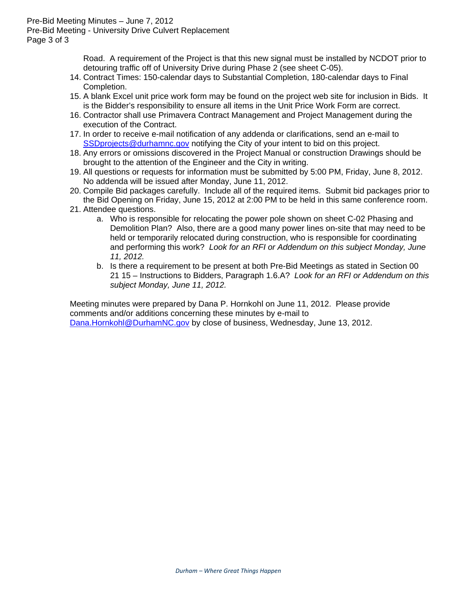## Pre-Bid Meeting Minutes – June 7, 2012

Pre-Bid Meeting - University Drive Culvert Replacement

Page 3 of 3

Road. A requirement of the Project is that this new signal must be installed by NCDOT prior to detouring traffic off of University Drive during Phase 2 (see sheet C-05).

- 14. Contract Times: 150-calendar days to Substantial Completion, 180-calendar days to Final Completion.
- 15. A blank Excel unit price work form may be found on the project web site for inclusion in Bids. It is the Bidder's responsibility to ensure all items in the Unit Price Work Form are correct.
- 16. Contractor shall use Primavera Contract Management and Project Management during the execution of the Contract.
- 17. In order to receive e-mail notification of any addenda or clarifications, send an e-mail to SSD projects@durhamnc.gov notifying the City of your intent to bid on this project.
- 18. Any errors or omissions discovered in the Project Manual or construction Drawings should be brought to the attention of the Engineer and the City in writing.
- 19. All questions or requests for information must be submitted by 5:00 PM, Friday, June 8, 2012. No addenda will be issued after Monday, June 11, 2012.
- 20. Compile Bid packages carefully. Include all of the required items. Submit bid packages prior to the Bid Opening on Friday, June 15, 2012 at 2:00 PM to be held in this same conference room.
- 21. Attendee questions.
	- a. Who is responsible for relocating the power pole shown on sheet C-02 Phasing and Demolition Plan? Also, there are a good many power lines on-site that may need to be held or temporarily relocated during construction, who is responsible for coordinating and performing this work? *Look for an RFI or Addendum on this subject Monday, June 11, 2012.*
	- b. Is there a requirement to be present at both Pre-Bid Meetings as stated in Section 00 21 15 – Instructions to Bidders, Paragraph 1.6.A? *Look for an RFI or Addendum on this subject Monday, June 11, 2012.*

Meeting minutes were prepared by Dana P. Hornkohl on June 11, 2012. Please provide comments and/or additions concerning these minutes by e-mail to Dana.Hornkohl@DurhamNC.gov by close of business, Wednesday, June 13, 2012.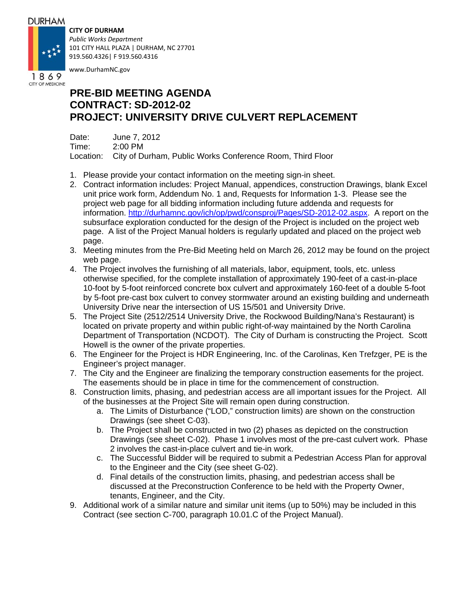## **DURHAM**

## **CITY OF DURHAM**



*Public Works Department* 101 CITY HALL PLAZA | DURHAM, NC 27701 919.560.4326| F 919.560.4316

www.DurhamNC.gov

# **PRE-BID MEETING AGENDA CONTRACT: SD-2012-02 PROJECT: UNIVERSITY DRIVE CULVERT REPLACEMENT**

Date: June 7, 2012 Time: 2:00 PM Location: City of Durham, Public Works Conference Room, Third Floor

- 1. Please provide your contact information on the meeting sign-in sheet.
- 2. Contract information includes: Project Manual, appendices, construction Drawings, blank Excel unit price work form, Addendum No. 1 and, Requests for Information 1-3. Please see the project web page for all bidding information including future addenda and requests for information. http://durhamnc.gov/ich/op/pwd/consproj/Pages/SD-2012-02.aspx. A report on the subsurface exploration conducted for the design of the Project is included on the project web page. A list of the Project Manual holders is regularly updated and placed on the project web page.
- 3. Meeting minutes from the Pre-Bid Meeting held on March 26, 2012 may be found on the project web page.
- 4. The Project involves the furnishing of all materials, labor, equipment, tools, etc. unless otherwise specified, for the complete installation of approximately 190-feet of a cast-in-place 10-foot by 5-foot reinforced concrete box culvert and approximately 160-feet of a double 5-foot by 5-foot pre-cast box culvert to convey stormwater around an existing building and underneath University Drive near the intersection of US 15/501 and University Drive.
- 5. The Project Site (2512/2514 University Drive, the Rockwood Building/Nana's Restaurant) is located on private property and within public right-of-way maintained by the North Carolina Department of Transportation (NCDOT). The City of Durham is constructing the Project. Scott Howell is the owner of the private properties.
- 6. The Engineer for the Project is HDR Engineering, Inc. of the Carolinas, Ken Trefzger, PE is the Engineer's project manager.
- 7. The City and the Engineer are finalizing the temporary construction easements for the project. The easements should be in place in time for the commencement of construction.
- 8. Construction limits, phasing, and pedestrian access are all important issues for the Project. All of the businesses at the Project Site will remain open during construction.
	- a. The Limits of Disturbance ("LOD," construction limits) are shown on the construction Drawings (see sheet C-03).
	- b. The Project shall be constructed in two (2) phases as depicted on the construction Drawings (see sheet C-02). Phase 1 involves most of the pre-cast culvert work. Phase 2 involves the cast-in-place culvert and tie-in work.
	- c. The Successful Bidder will be required to submit a Pedestrian Access Plan for approval to the Engineer and the City (see sheet G-02).
	- d. Final details of the construction limits, phasing, and pedestrian access shall be discussed at the Preconstruction Conference to be held with the Property Owner, tenants, Engineer, and the City.
- 9. Additional work of a similar nature and similar unit items (up to 50%) may be included in this Contract (see section C-700, paragraph 10.01.C of the Project Manual).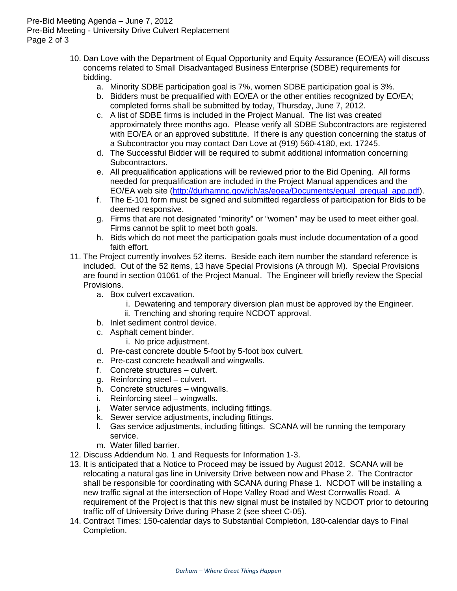Pre-Bid Meeting Agenda – June 7, 2012 Pre-Bid Meeting - University Drive Culvert Replacement Page 2 of 3

- 10. Dan Love with the Department of Equal Opportunity and Equity Assurance (EO/EA) will discuss concerns related to Small Disadvantaged Business Enterprise (SDBE) requirements for bidding.
	- a. Minority SDBE participation goal is 7%, women SDBE participation goal is 3%.
	- b. Bidders must be prequalified with EO/EA or the other entities recognized by EO/EA; completed forms shall be submitted by today, Thursday, June 7, 2012.
	- c. A list of SDBE firms is included in the Project Manual. The list was created approximately three months ago. Please verify all SDBE Subcontractors are registered with EO/EA or an approved substitute. If there is any question concerning the status of a Subcontractor you may contact Dan Love at (919) 560-4180, ext. 17245.
	- d. The Successful Bidder will be required to submit additional information concerning Subcontractors.
	- e. All prequalification applications will be reviewed prior to the Bid Opening. All forms needed for prequalification are included in the Project Manual appendices and the EO/EA web site (http://durhamnc.gov/ich/as/eoea/Documents/equal\_prequal\_app.pdf).
	- f. The E-101 form must be signed and submitted regardless of participation for Bids to be deemed responsive.
	- g. Firms that are not designated "minority" or "women" may be used to meet either goal. Firms cannot be split to meet both goals.
	- h. Bids which do not meet the participation goals must include documentation of a good faith effort.
- 11. The Project currently involves 52 items. Beside each item number the standard reference is included. Out of the 52 items, 13 have Special Provisions (A through M). Special Provisions are found in section 01061 of the Project Manual. The Engineer will briefly review the Special Provisions.
	- a. Box culvert excavation.
		- i. Dewatering and temporary diversion plan must be approved by the Engineer.
		- ii. Trenching and shoring require NCDOT approval.
	- b. Inlet sediment control device.
	- c. Asphalt cement binder.
		- i. No price adjustment.
	- d. Pre-cast concrete double 5-foot by 5-foot box culvert.
	- e. Pre-cast concrete headwall and wingwalls.
	- f. Concrete structures culvert.
	- g. Reinforcing steel culvert.
	- h. Concrete structures wingwalls.
	- i. Reinforcing steel wingwalls.
	- j. Water service adjustments, including fittings.
	- k. Sewer service adjustments, including fittings.
	- l. Gas service adjustments, including fittings. SCANA will be running the temporary service.
	- m. Water filled barrier.
- 12. Discuss Addendum No. 1 and Requests for Information 1-3.
- 13. It is anticipated that a Notice to Proceed may be issued by August 2012. SCANA will be relocating a natural gas line in University Drive between now and Phase 2. The Contractor shall be responsible for coordinating with SCANA during Phase 1. NCDOT will be installing a new traffic signal at the intersection of Hope Valley Road and West Cornwallis Road. A requirement of the Project is that this new signal must be installed by NCDOT prior to detouring traffic off of University Drive during Phase 2 (see sheet C-05).
- 14. Contract Times: 150-calendar days to Substantial Completion, 180-calendar days to Final Completion.